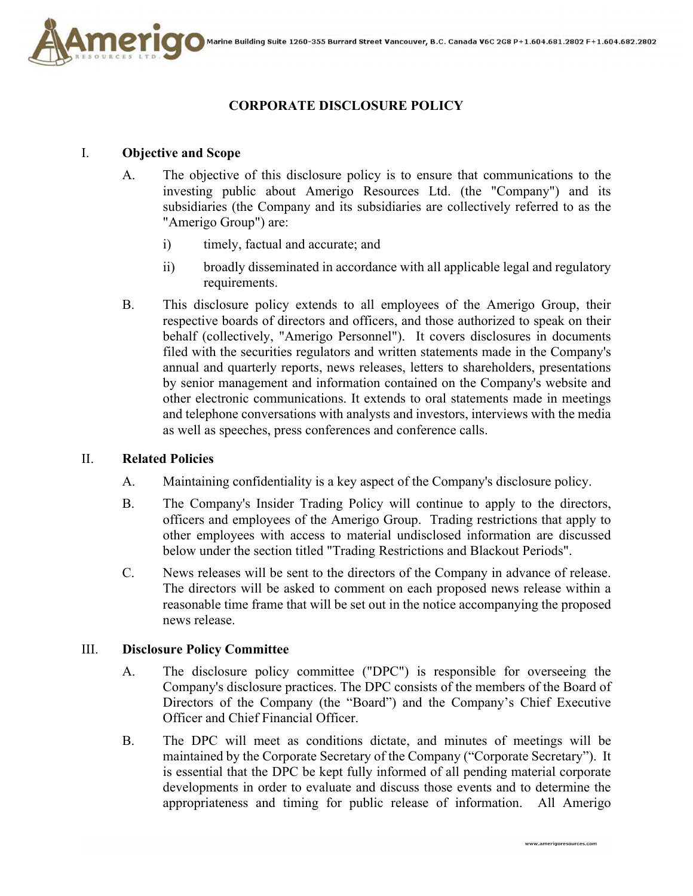

# **CORPORATE DISCLOSURE POLICY**

### I. **Objective and Scope**

- A. The objective of this disclosure policy is to ensure that communications to the investing public about Amerigo Resources Ltd. (the "Company") and its subsidiaries (the Company and its subsidiaries are collectively referred to as the "Amerigo Group") are:
	- i) timely, factual and accurate; and
	- ii) broadly disseminated in accordance with all applicable legal and regulatory requirements.
- B. This disclosure policy extends to all employees of the Amerigo Group, their respective boards of directors and officers, and those authorized to speak on their behalf (collectively, "Amerigo Personnel"). It covers disclosures in documents filed with the securities regulators and written statements made in the Company's annual and quarterly reports, news releases, letters to shareholders, presentations by senior management and information contained on the Company's website and other electronic communications. It extends to oral statements made in meetings and telephone conversations with analysts and investors, interviews with the media as well as speeches, press conferences and conference calls.

#### II. **Related Policies**

- A. Maintaining confidentiality is a key aspect of the Company's disclosure policy.
- B. The Company's Insider Trading Policy will continue to apply to the directors, officers and employees of the Amerigo Group. Trading restrictions that apply to other employees with access to material undisclosed information are discussed below under the section titled "Trading Restrictions and Blackout Periods".
- C. News releases will be sent to the directors of the Company in advance of release. The directors will be asked to comment on each proposed news release within a reasonable time frame that will be set out in the notice accompanying the proposed news release.

#### III. **Disclosure Policy Committee**

- A. The disclosure policy committee ("DPC") is responsible for overseeing the Company's disclosure practices. The DPC consists of the members of the Board of Directors of the Company (the "Board") and the Company's Chief Executive Officer and Chief Financial Officer.
- B. The DPC will meet as conditions dictate, and minutes of meetings will be maintained by the Corporate Secretary of the Company ("Corporate Secretary"). It is essential that the DPC be kept fully informed of all pending material corporate developments in order to evaluate and discuss those events and to determine the appropriateness and timing for public release of information. All Amerigo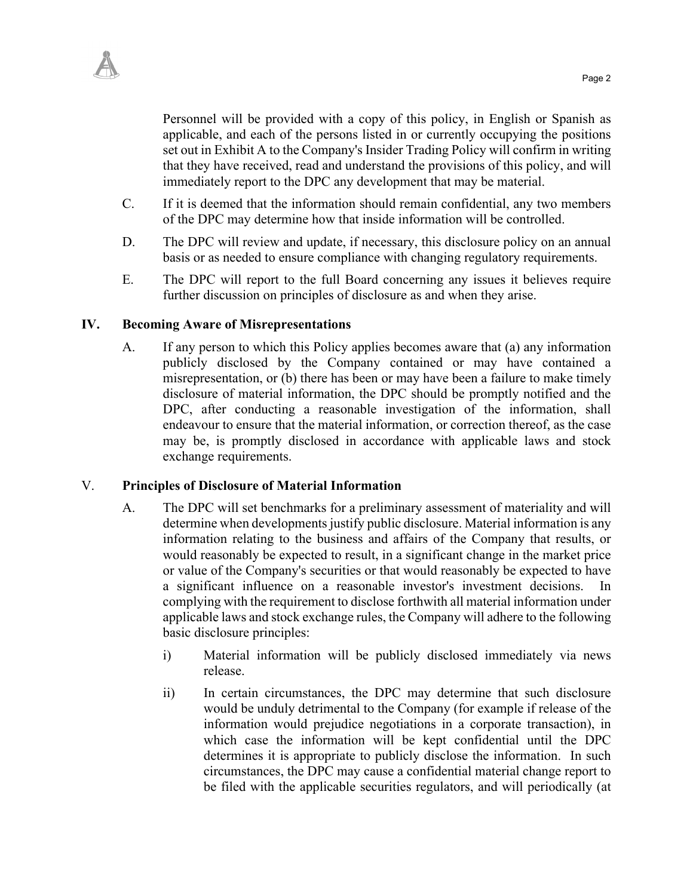

Personnel will be provided with a copy of this policy, in English or Spanish as applicable, and each of the persons listed in or currently occupying the positions set out in Exhibit A to the Company's Insider Trading Policy will confirm in writing that they have received, read and understand the provisions of this policy, and will immediately report to the DPC any development that may be material.

- C. If it is deemed that the information should remain confidential, any two members of the DPC may determine how that inside information will be controlled.
- D. The DPC will review and update, if necessary, this disclosure policy on an annual basis or as needed to ensure compliance with changing regulatory requirements.
- E. The DPC will report to the full Board concerning any issues it believes require further discussion on principles of disclosure as and when they arise.

#### **IV. Becoming Aware of Misrepresentations**

A. If any person to which this Policy applies becomes aware that (a) any information publicly disclosed by the Company contained or may have contained a misrepresentation, or (b) there has been or may have been a failure to make timely disclosure of material information, the DPC should be promptly notified and the DPC, after conducting a reasonable investigation of the information, shall endeavour to ensure that the material information, or correction thereof, as the case may be, is promptly disclosed in accordance with applicable laws and stock exchange requirements.

#### V. **Principles of Disclosure of Material Information**

- A. The DPC will set benchmarks for a preliminary assessment of materiality and will determine when developments justify public disclosure. Material information is any information relating to the business and affairs of the Company that results, or would reasonably be expected to result, in a significant change in the market price or value of the Company's securities or that would reasonably be expected to have a significant influence on a reasonable investor's investment decisions. In complying with the requirement to disclose forthwith all material information under applicable laws and stock exchange rules, the Company will adhere to the following basic disclosure principles:
	- i) Material information will be publicly disclosed immediately via news release.
	- ii) In certain circumstances, the DPC may determine that such disclosure would be unduly detrimental to the Company (for example if release of the information would prejudice negotiations in a corporate transaction), in which case the information will be kept confidential until the DPC determines it is appropriate to publicly disclose the information. In such circumstances, the DPC may cause a confidential material change report to be filed with the applicable securities regulators, and will periodically (at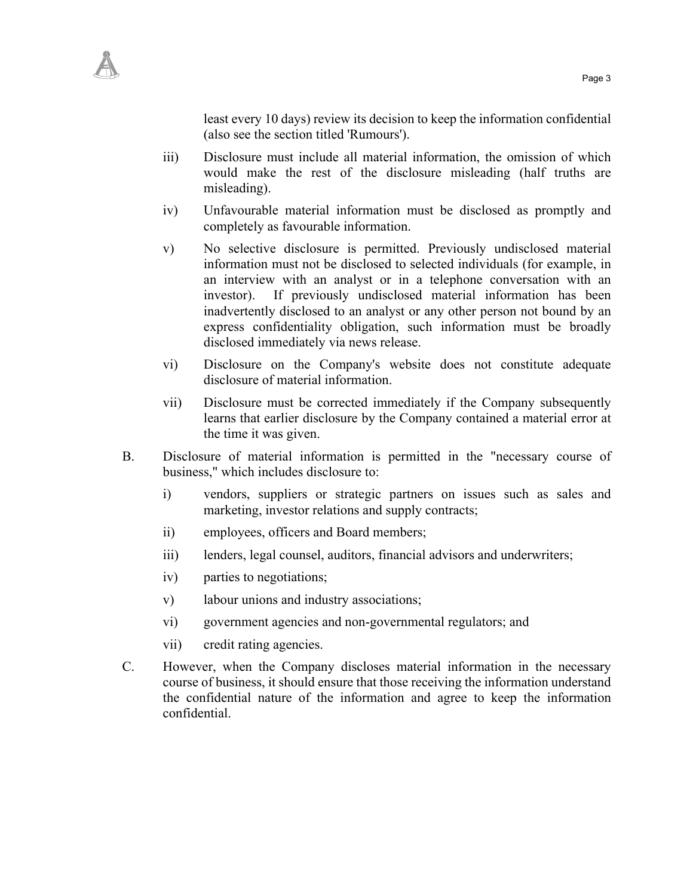

least every 10 days) review its decision to keep the information confidential (also see the section titled 'Rumours').

- iii) Disclosure must include all material information, the omission of which would make the rest of the disclosure misleading (half truths are misleading).
- iv) Unfavourable material information must be disclosed as promptly and completely as favourable information.
- v) No selective disclosure is permitted. Previously undisclosed material information must not be disclosed to selected individuals (for example, in an interview with an analyst or in a telephone conversation with an investor). If previously undisclosed material information has been inadvertently disclosed to an analyst or any other person not bound by an express confidentiality obligation, such information must be broadly disclosed immediately via news release.
- vi) Disclosure on the Company's website does not constitute adequate disclosure of material information.
- vii) Disclosure must be corrected immediately if the Company subsequently learns that earlier disclosure by the Company contained a material error at the time it was given.
- B. Disclosure of material information is permitted in the "necessary course of business," which includes disclosure to:
	- i) vendors, suppliers or strategic partners on issues such as sales and marketing, investor relations and supply contracts;
	- ii) employees, officers and Board members;
	- iii) lenders, legal counsel, auditors, financial advisors and underwriters;
	- iv) parties to negotiations;
	- v) labour unions and industry associations;
	- vi) government agencies and non-governmental regulators; and
	- vii) credit rating agencies.
- C. However, when the Company discloses material information in the necessary course of business, it should ensure that those receiving the information understand the confidential nature of the information and agree to keep the information confidential.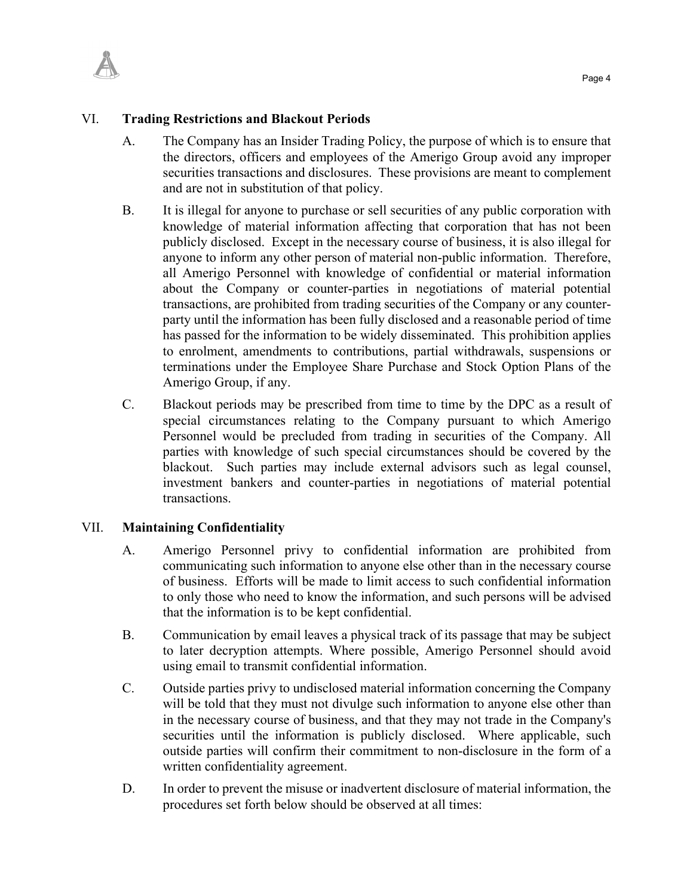

- A. The Company has an Insider Trading Policy, the purpose of which is to ensure that the directors, officers and employees of the Amerigo Group avoid any improper securities transactions and disclosures. These provisions are meant to complement and are not in substitution of that policy.
- B. It is illegal for anyone to purchase or sell securities of any public corporation with knowledge of material information affecting that corporation that has not been publicly disclosed. Except in the necessary course of business, it is also illegal for anyone to inform any other person of material non-public information. Therefore, all Amerigo Personnel with knowledge of confidential or material information about the Company or counter-parties in negotiations of material potential transactions, are prohibited from trading securities of the Company or any counterparty until the information has been fully disclosed and a reasonable period of time has passed for the information to be widely disseminated. This prohibition applies to enrolment, amendments to contributions, partial withdrawals, suspensions or terminations under the Employee Share Purchase and Stock Option Plans of the Amerigo Group, if any.
- C. Blackout periods may be prescribed from time to time by the DPC as a result of special circumstances relating to the Company pursuant to which Amerigo Personnel would be precluded from trading in securities of the Company. All parties with knowledge of such special circumstances should be covered by the blackout. Such parties may include external advisors such as legal counsel, investment bankers and counter-parties in negotiations of material potential transactions.

## VII. **Maintaining Confidentiality**

- A. Amerigo Personnel privy to confidential information are prohibited from communicating such information to anyone else other than in the necessary course of business. Efforts will be made to limit access to such confidential information to only those who need to know the information, and such persons will be advised that the information is to be kept confidential.
- B. Communication by email leaves a physical track of its passage that may be subject to later decryption attempts. Where possible, Amerigo Personnel should avoid using email to transmit confidential information.
- C. Outside parties privy to undisclosed material information concerning the Company will be told that they must not divulge such information to anyone else other than in the necessary course of business, and that they may not trade in the Company's securities until the information is publicly disclosed. Where applicable, such outside parties will confirm their commitment to non-disclosure in the form of a written confidentiality agreement.
- D. In order to prevent the misuse or inadvertent disclosure of material information, the procedures set forth below should be observed at all times: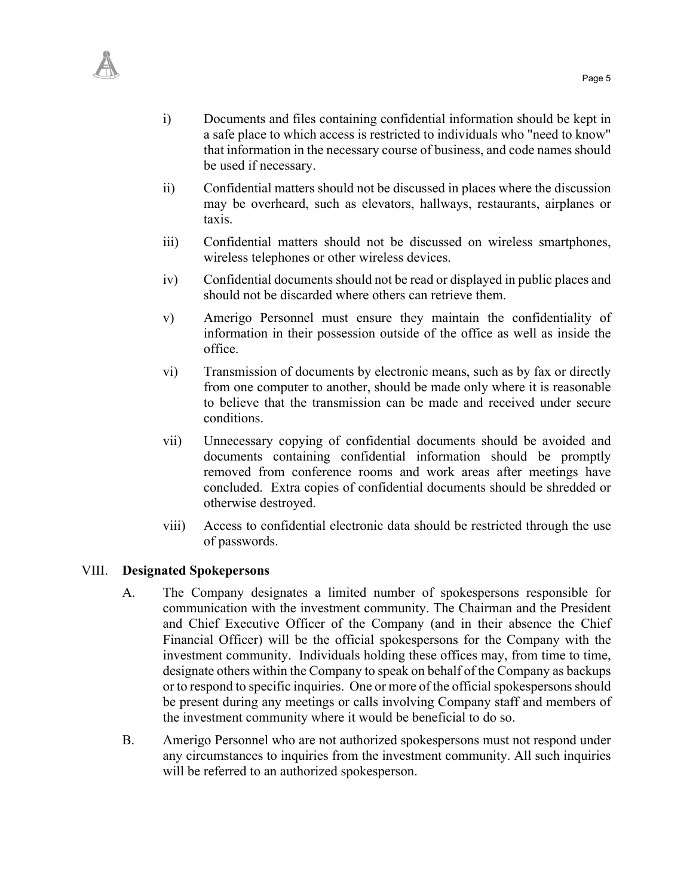

- i) Documents and files containing confidential information should be kept in a safe place to which access is restricted to individuals who "need to know" that information in the necessary course of business, and code names should be used if necessary.
- ii) Confidential matters should not be discussed in places where the discussion may be overheard, such as elevators, hallways, restaurants, airplanes or taxis.
- iii) Confidential matters should not be discussed on wireless smartphones, wireless telephones or other wireless devices.
- iv) Confidential documents should not be read or displayed in public places and should not be discarded where others can retrieve them.
- v) Amerigo Personnel must ensure they maintain the confidentiality of information in their possession outside of the office as well as inside the office.
- vi) Transmission of documents by electronic means, such as by fax or directly from one computer to another, should be made only where it is reasonable to believe that the transmission can be made and received under secure conditions.
- vii) Unnecessary copying of confidential documents should be avoided and documents containing confidential information should be promptly removed from conference rooms and work areas after meetings have concluded. Extra copies of confidential documents should be shredded or otherwise destroyed.
- viii) Access to confidential electronic data should be restricted through the use of passwords.

#### VIII. **Designated Spokepersons**

- A. The Company designates a limited number of spokespersons responsible for communication with the investment community. The Chairman and the President and Chief Executive Officer of the Company (and in their absence the Chief Financial Officer) will be the official spokespersons for the Company with the investment community. Individuals holding these offices may, from time to time, designate others within the Company to speak on behalf of the Company as backups or to respond to specific inquiries. One or more of the official spokespersons should be present during any meetings or calls involving Company staff and members of the investment community where it would be beneficial to do so.
- B. Amerigo Personnel who are not authorized spokespersons must not respond under any circumstances to inquiries from the investment community. All such inquiries will be referred to an authorized spokesperson.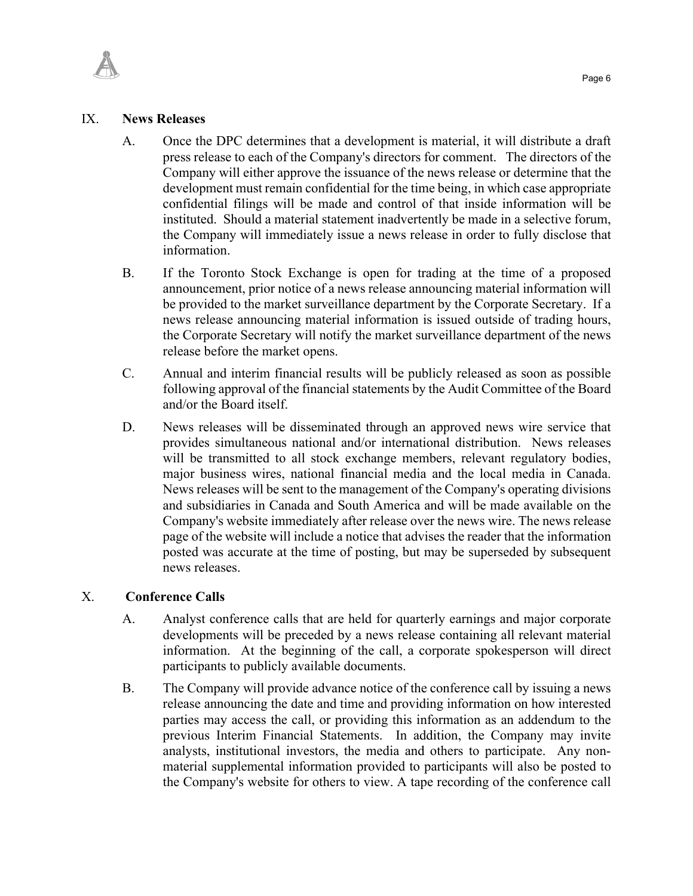

#### IX. **News Releases**

- A. Once the DPC determines that a development is material, it will distribute a draft press release to each of the Company's directors for comment. The directors of the Company will either approve the issuance of the news release or determine that the development must remain confidential for the time being, in which case appropriate confidential filings will be made and control of that inside information will be instituted. Should a material statement inadvertently be made in a selective forum, the Company will immediately issue a news release in order to fully disclose that information.
- B. If the Toronto Stock Exchange is open for trading at the time of a proposed announcement, prior notice of a news release announcing material information will be provided to the market surveillance department by the Corporate Secretary. If a news release announcing material information is issued outside of trading hours, the Corporate Secretary will notify the market surveillance department of the news release before the market opens.
- C. Annual and interim financial results will be publicly released as soon as possible following approval of the financial statements by the Audit Committee of the Board and/or the Board itself.
- D. News releases will be disseminated through an approved news wire service that provides simultaneous national and/or international distribution. News releases will be transmitted to all stock exchange members, relevant regulatory bodies, major business wires, national financial media and the local media in Canada. News releases will be sent to the management of the Company's operating divisions and subsidiaries in Canada and South America and will be made available on the Company's website immediately after release over the news wire. The news release page of the website will include a notice that advises the reader that the information posted was accurate at the time of posting, but may be superseded by subsequent news releases.

#### X. **Conference Calls**

- A. Analyst conference calls that are held for quarterly earnings and major corporate developments will be preceded by a news release containing all relevant material information. At the beginning of the call, a corporate spokesperson will direct participants to publicly available documents.
- B. The Company will provide advance notice of the conference call by issuing a news release announcing the date and time and providing information on how interested parties may access the call, or providing this information as an addendum to the previous Interim Financial Statements. In addition, the Company may invite analysts, institutional investors, the media and others to participate. Any nonmaterial supplemental information provided to participants will also be posted to the Company's website for others to view. A tape recording of the conference call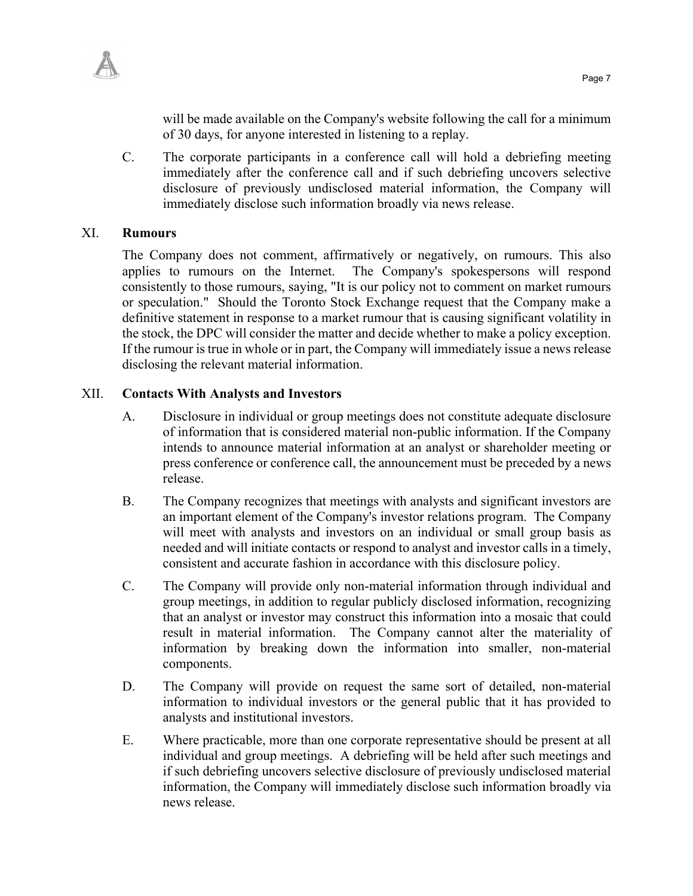

will be made available on the Company's website following the call for a minimum of 30 days, for anyone interested in listening to a replay.

C. The corporate participants in a conference call will hold a debriefing meeting immediately after the conference call and if such debriefing uncovers selective disclosure of previously undisclosed material information, the Company will immediately disclose such information broadly via news release.

#### XI. **Rumours**

The Company does not comment, affirmatively or negatively, on rumours. This also applies to rumours on the Internet. The Company's spokespersons will respond consistently to those rumours, saying, "It is our policy not to comment on market rumours or speculation." Should the Toronto Stock Exchange request that the Company make a definitive statement in response to a market rumour that is causing significant volatility in the stock, the DPC will consider the matter and decide whether to make a policy exception. If the rumour is true in whole or in part, the Company will immediately issue a news release disclosing the relevant material information.

#### XII. **Contacts With Analysts and Investors**

- A. Disclosure in individual or group meetings does not constitute adequate disclosure of information that is considered material non-public information. If the Company intends to announce material information at an analyst or shareholder meeting or press conference or conference call, the announcement must be preceded by a news release.
- B. The Company recognizes that meetings with analysts and significant investors are an important element of the Company's investor relations program. The Company will meet with analysts and investors on an individual or small group basis as needed and will initiate contacts or respond to analyst and investor calls in a timely, consistent and accurate fashion in accordance with this disclosure policy.
- C. The Company will provide only non-material information through individual and group meetings, in addition to regular publicly disclosed information, recognizing that an analyst or investor may construct this information into a mosaic that could result in material information. The Company cannot alter the materiality of information by breaking down the information into smaller, non-material components.
- D. The Company will provide on request the same sort of detailed, non-material information to individual investors or the general public that it has provided to analysts and institutional investors.
- E. Where practicable, more than one corporate representative should be present at all individual and group meetings. A debriefing will be held after such meetings and if such debriefing uncovers selective disclosure of previously undisclosed material information, the Company will immediately disclose such information broadly via news release.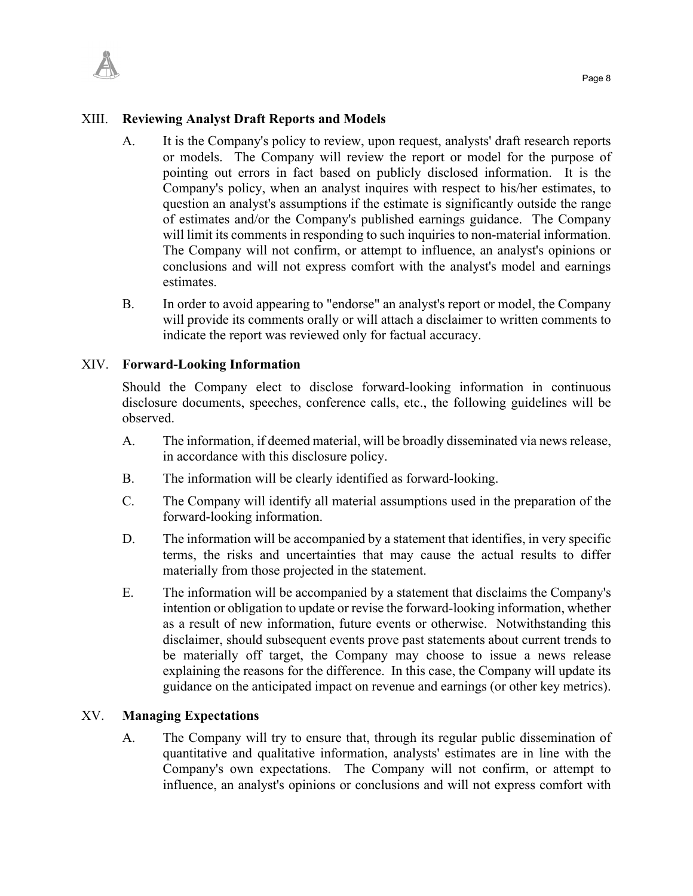### XIII. **Reviewing Analyst Draft Reports and Models**

- A. It is the Company's policy to review, upon request, analysts' draft research reports or models. The Company will review the report or model for the purpose of pointing out errors in fact based on publicly disclosed information. It is the Company's policy, when an analyst inquires with respect to his/her estimates, to question an analyst's assumptions if the estimate is significantly outside the range of estimates and/or the Company's published earnings guidance. The Company will limit its comments in responding to such inquiries to non-material information. The Company will not confirm, or attempt to influence, an analyst's opinions or conclusions and will not express comfort with the analyst's model and earnings estimates.
- B. In order to avoid appearing to "endorse" an analyst's report or model, the Company will provide its comments orally or will attach a disclaimer to written comments to indicate the report was reviewed only for factual accuracy.

#### XIV. **Forward-Looking Information**

Should the Company elect to disclose forward-looking information in continuous disclosure documents, speeches, conference calls, etc., the following guidelines will be observed.

- A. The information, if deemed material, will be broadly disseminated via news release, in accordance with this disclosure policy.
- B. The information will be clearly identified as forward-looking.
- C. The Company will identify all material assumptions used in the preparation of the forward-looking information.
- D. The information will be accompanied by a statement that identifies, in very specific terms, the risks and uncertainties that may cause the actual results to differ materially from those projected in the statement.
- E. The information will be accompanied by a statement that disclaims the Company's intention or obligation to update or revise the forward-looking information, whether as a result of new information, future events or otherwise. Notwithstanding this disclaimer, should subsequent events prove past statements about current trends to be materially off target, the Company may choose to issue a news release explaining the reasons for the difference. In this case, the Company will update its guidance on the anticipated impact on revenue and earnings (or other key metrics).

## XV. **Managing Expectations**

A. The Company will try to ensure that, through its regular public dissemination of quantitative and qualitative information, analysts' estimates are in line with the Company's own expectations. The Company will not confirm, or attempt to influence, an analyst's opinions or conclusions and will not express comfort with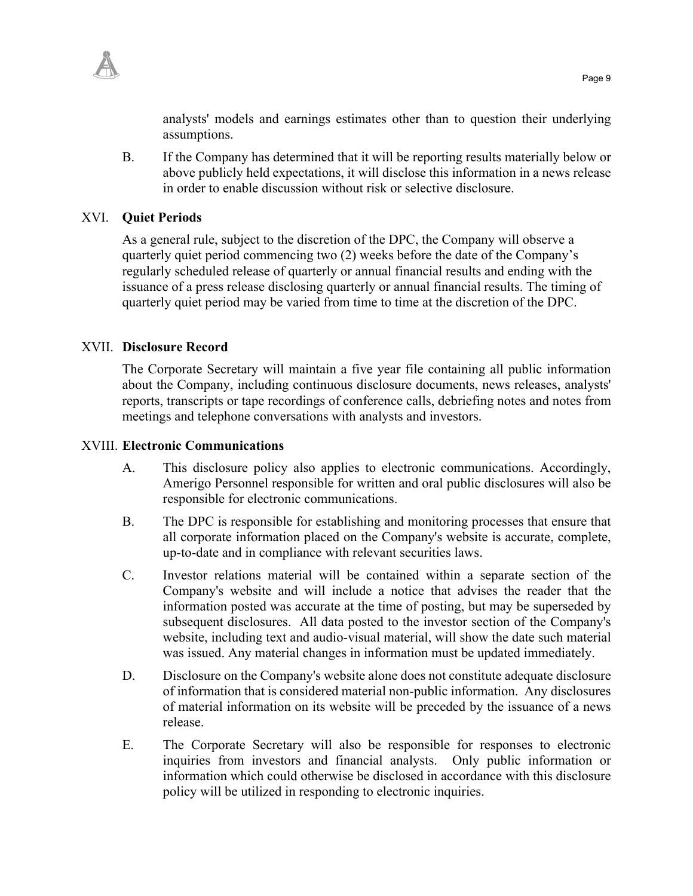analysts' models and earnings estimates other than to question their underlying assumptions.

B. If the Company has determined that it will be reporting results materially below or above publicly held expectations, it will disclose this information in a news release in order to enable discussion without risk or selective disclosure.

### XVI. **Quiet Periods**

As a general rule, subject to the discretion of the DPC, the Company will observe a quarterly quiet period commencing two (2) weeks before the date of the Company's regularly scheduled release of quarterly or annual financial results and ending with the issuance of a press release disclosing quarterly or annual financial results. The timing of quarterly quiet period may be varied from time to time at the discretion of the DPC.

### XVII. **Disclosure Record**

The Corporate Secretary will maintain a five year file containing all public information about the Company, including continuous disclosure documents, news releases, analysts' reports, transcripts or tape recordings of conference calls, debriefing notes and notes from meetings and telephone conversations with analysts and investors.

#### XVIII. **Electronic Communications**

- A. This disclosure policy also applies to electronic communications. Accordingly, Amerigo Personnel responsible for written and oral public disclosures will also be responsible for electronic communications.
- B. The DPC is responsible for establishing and monitoring processes that ensure that all corporate information placed on the Company's website is accurate, complete, up-to-date and in compliance with relevant securities laws.
- C. Investor relations material will be contained within a separate section of the Company's website and will include a notice that advises the reader that the information posted was accurate at the time of posting, but may be superseded by subsequent disclosures. All data posted to the investor section of the Company's website, including text and audio-visual material, will show the date such material was issued. Any material changes in information must be updated immediately.
- D. Disclosure on the Company's website alone does not constitute adequate disclosure of information that is considered material non-public information. Any disclosures of material information on its website will be preceded by the issuance of a news release.
- E. The Corporate Secretary will also be responsible for responses to electronic inquiries from investors and financial analysts. Only public information or information which could otherwise be disclosed in accordance with this disclosure policy will be utilized in responding to electronic inquiries.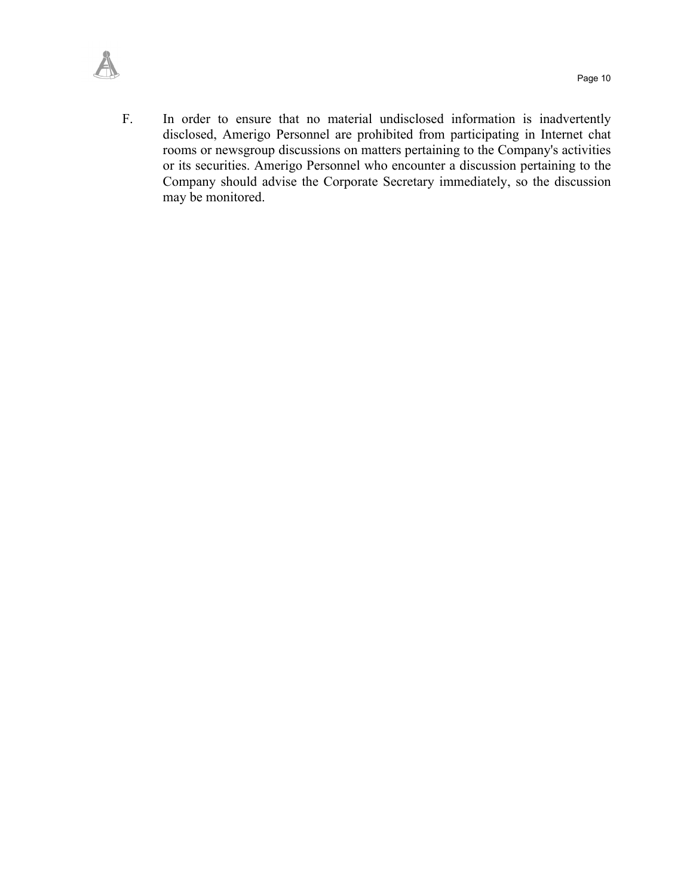

F. In order to ensure that no material undisclosed information is inadvertently disclosed, Amerigo Personnel are prohibited from participating in Internet chat rooms or newsgroup discussions on matters pertaining to the Company's activities or its securities. Amerigo Personnel who encounter a discussion pertaining to the Company should advise the Corporate Secretary immediately, so the discussion may be monitored.